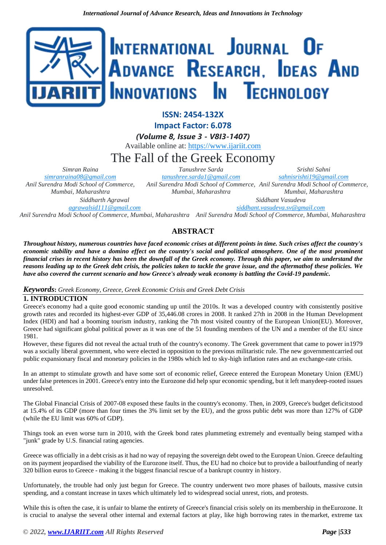

**ISSN: 2454-132X**

**Impact Factor: 6.078**

*(Volume 8, Issue 3 - V8I3-1407)*

Available online at: [https://www.ijariit.com](https://www.ijariit.com/?utm_source=pdf&utm_medium=edition&utm_campaign=OmAkSols&utm_term=V8I3-1407)

# The Fall of the Greek Economy

*Simran Raina [simranraina08@gmail.com](mailto:simranraina08@gmail.com) Anil Surendra Modi School of Commerce, Mumbai, Maharashtra*

*Siddharth Agrawal [agrawalsid111@gmail.com](mailto:agrawalsid111@gmail.com)*

*Tanushree Sarda [tanushree.sarda1@gmail.com](mailto:tanushree.sarda1@gmail.com) Anil Surendra Modi School of Commerce, Anil Surendra Modi School of Commerce, Mumbai, Maharashtra Srishti Sahni [sahnisrishti19@gmail.com](mailto:sahnisrishti19@gmail.com) Mumbai, Maharashtra*

> *Siddhant Vasudeva [siddhant.vasudeva.sv@gmail.com](mailto:siddhant.vasudeva.sv@gmail.com)*

*Anil Surendra Modi School of Commerce, Mumbai, Maharashtra Anil Surendra Modi School of Commerce, Mumbai, Maharashtra*

# **ABSTRACT**

*Throughout history, numerous countries have faced economic crises at different points in time. Such crises affect the country's economic stability and have a domino effect on the country's social and political atmosphere. One of the most prominent financial crises in recent history has been the downfall of the Greek economy. Through this paper, we aim to understand the* reasons leading up to the Greek debt crisis, the policies taken to tackle the grave issue, and the aftermathof these policies. We *have also covered the current scenario and how Greece's already weak economy is battling the Covid-19 pandemic.*

#### *Keywords***:** *Greek Economy, Greece, Greek Economic Crisis and Greek Debt Crisis*

# **1. INTRODUCTION**

Greece's economy had a quite good economic standing up until the 2010s. It was a developed country with consistently positive growth rates and recorded its highest-ever GDP of 35,446.08 crores in 2008. It ranked 27th in 2008 in the Human Development Index (HDI) and had a booming tourism industry, ranking the 7th most visited country of the European Union(EU). Moreover, Greece had significant global political power as it was one of the 51 founding members of the UN and a member of the EU since 1981.

However, these figures did not reveal the actual truth of the country's economy. The Greek government that came to power in1979 was a socially liberal government, who were elected in opposition to the previous militaristic rule. The new governmentcarried out public expansionary fiscal and monetary policies in the 1980s which led to sky-high inflation rates and an exchange-rate crisis.

In an attempt to stimulate growth and have some sort of economic relief, Greece entered the European Monetary Union (EMU) under false pretences in 2001. Greece's entry into the Eurozone did help spur economic spending, but it left manydeep-rooted issues unresolved.

The Global Financial Crisis of 2007-08 exposed these faults in the country's economy. Then, in 2009, Greece's budget deficitstood at 15.4% of its GDP (more than four times the 3% limit set by the EU), and the gross public debt was more than 127% of GDP (while the EU limit was 60% of GDP).

Things took an even worse turn in 2010, with the Greek bond rates plummeting extremely and eventually being stamped witha "junk" grade by U.S. financial rating agencies.

Greece was officially in a debt crisis as it had no way of repaying the sovereign debt owed to the European Union. Greece defaulting on its payment jeopardised the viability of the Eurozone itself. Thus, the EU had no choice but to provide a bailoutfunding of nearly 320 billion euros to Greece - making it the biggest financial rescue of a bankrupt country in history.

Unfortunately, the trouble had only just begun for Greece. The country underwent two more phases of bailouts, massive cutsin spending, and a constant increase in taxes which ultimately led to widespread social unrest, riots, and protests.

While this is often the case, it is unfair to blame the entirety of Greece's financial crisis solely on its membership in theEurozone. It is crucial to analyse the several other internal and external factors at play, like high borrowing rates in themarket, extreme tax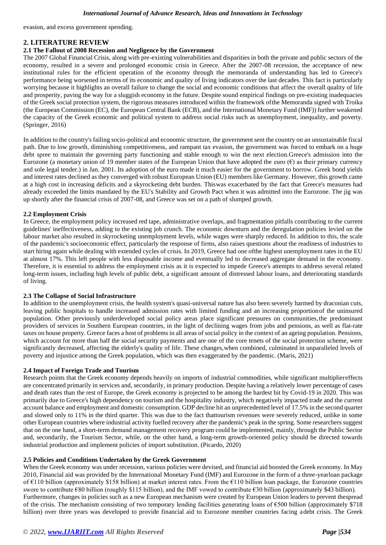evasion, and excess government spending.

#### **2. LITERATURE REVIEW**

#### **2.1 The Fallout of 2008 Recession and Negligence by the Government**

The 2007 Global Financial Crisis, along with pre-existing vulnerabilities and disparities in both the private and public sectors of the economy, resulted in a severe and prolonged economic crisis in Greece. After the 2007-08 recession, the acceptance of new institutional rules for the efficient operation of the economy through the memoranda of understanding has led to Greece's performance being worsened in terms of its economic and quality of living indicators over the last decades. This fact is particularly worrying because it highlights an overall failure to change the social and economic conditions that affect the overall quality of life and prosperity, paving the way for a sluggish economy in the future. Despite sound empirical findings on pre-existing inadequacies of the Greek social protection system, the rigorous measures introduced within the framework ofthe Memoranda signed with Troika (the European Commission (EC), the European Central Bank (ECB), and the International Monetary Fund (IMF)) further weakened the capacity of the Greek economic and political system to address social risks such as unemployment, inequality, and poverty. (Springer, 2016)

In addition to the country's failing socio-political and economic structure, the government sent the country on an unsustainable fiscal path. Due to low growth, diminishing competitiveness, and rampant tax evasion, the government was forced to embark on a huge debt spree to maintain the governing party functioning and stable enough to win the next election.Greece's admission into the Eurozone (a monetary union of 19 member states of the European Union that have adopted the euro  $(\epsilon)$  as their primary currency and sole legal tender.) in Jan. 2001. Its adoption of the euro made it much easier for the government to borrow. Greek bond yields and interest rates declined as they converged with robust European Union (EU) members like Germany. However, this growth came at a high cost in increasing deficits and a skyrocketing debt burden. Thiswas exacerbated by the fact that Greece's measures had already exceeded the limits mandated by the EU's Stability and Growth Pact when it was admitted into the Eurozone. The jig was up shortly after the financial crisis of 2007-08, and Greece was set on a path of slumped growth.

#### **2.2 Employment Crisis**

In Greece, the employment policy increased red tape, administrative overlaps, and fragmentation pitfalls contributing to the current guidelines' ineffectiveness, adding to the existing job crunch. The economic downturn and the deregulation policies levied on the labour market also resulted in skyrocketing unemployment levels, while wages were sharply reduced. In addition to this, the scale of the pandemic's socioeconomic effect, particularly the response of firms, also raises questions about the readiness of industries to start hiring again while dealing with extended cycles of crisis. In 2019, Greece had one ofthe highest unemployment rates in the EU at almost 17%. This left people with less disposable income and eventually led to decreased aggregate demand in the economy. Therefore, it is essential to address the employment crisis as it is expected to impede Greece's attempts to address several related long-term issues, including high levels of public debt, a significant amount of distressed labour loans, and deteriorating standards of living.

#### **2.3 The Collapse of Social Infrastructure**

In addition to the unemployment crisis, the health system's quasi-universal nature has also been severely harmed by draconian cuts, leaving public hospitals to handle increased admission rates with limited funding and an increasing proportionof the uninsured population. Other previously underdeveloped social policy areas place significant pressures on communities,the predominant providers of services in Southern European countries, in the light of declining wages from jobs and pensions, as well as flat-rate taxes on house property. Greece faces a host of problems in all areas of social policy in the context of an ageing population. Pensions, which account for more than half the social security payments and are one of the core tenets of the social protection scheme, were significantly decreased, affecting the elderly's quality of life. These changes,when combined, culminated in unparalleled levels of poverty and injustice among the Greek population, which was then exaggerated by the pandemic. (Maris, 2021)

#### **2.4 Impact of Foreign Trade and Tourism**

Research points that the Greek economy depends heavily on imports of industrial commodities, while significant multipliereffects are concentrated primarily in services and, secondarily, in primary production. Despite having a relatively lower percentage of cases and death rates than the rest of Europe, the Greek economy is projected to be among the hardest hit by Covid-19 in 2020. This was primarily due to Greece's high dependency on tourism and the hospitality industry, which negatively impacted trade and the current account balance and employment and domestic consumption. GDP decline hit an unprecedented level of 17.5% in the second quarter and slowed only to 11% in the third quarter. This was due to the fact thattourism revenues were severely reduced, unlike in some other European countries where industrial activity fuelled recovery after the pandemic's peak in the spring. Some researchers suggest that on the one hand, a short-term demand management recovery program could be implemented, mainly, through the Public Sector and, secondarily, the Tourism Sector, while, on the other hand, a long-term growth-oriented policy should be directed towards industrial production and implement policies of import substitution. (Picardo, 2020)

#### **2.5 Policies and Conditions Undertaken by the Greek Government**

When the Greek economy was under recession, various policies were devised, and financial aid boosted the Greek economy. In May 2010, Financial aid was provided by the International Monetary Fund (IMF) and Eurozone in the form of a three-yearloan package of  $E110$  billion (approximately \$158 billion) at market interest rates. From the  $E110$  billion loan package, the Eurozone countries swore to contribute €80 billion (roughly \$115 billion), and the IMF vowed to contribute €30 billion (approximately \$43 billion). Furthermore, changes in policies such as a new European mechanism were created by European Union leaders to prevent thespread of the crisis. The mechanism consisting of two temporary lending facilities generating loans of  $\epsilon$ 500 billion (approximately \$718) billion) over three years was developed to provide financial aid to Eurozone member countries facing adebt crisis. The Greek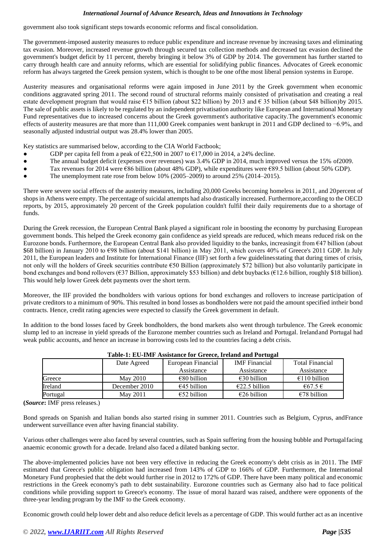government also took significant steps towards economic reforms and fiscal consolidation.

The government-imposed austerity measures to reduce public expenditure and increase revenue by increasing taxes and eliminating tax evasion. Moreover, increased revenue growth through secured tax collection methods and decreased tax evasion declined the government's budget deficit by 11 percent, thereby bringing it below 3% of GDP by 2014. The government has further started to carry through health care and annuity reforms, which are essential for solidifying public finances. Advocates of Greek economic reform has always targeted the Greek pension system, which is thought to be one ofthe most liberal pension systems in Europe.

Austerity measures and organisational reforms were again imposed in June 2011 by the Greek government when economic conditions aggravated spring 2011. The second round of structural reforms mainly consisted of privatisation and creating a real estate development program that would raise  $\epsilon$ 15 billion (about \$22 billion) by 2013 and  $\epsilon$  35 billion (about \$48 billion) by 2015. The sale of public assets is likely to be regulated by an independent privatisation authority like European and International Monetary Fund representatives due to increased concerns about the Greek government's authoritative capacity.The government's economic effects of austerity measures are that more than 111,000 Greek companies went bankrupt in 2011 and GDP declined to −6.9%, and seasonally adjusted industrial output was 28.4% lower than 2005.

Key statistics are summarised below, according to the CIA World Factbook;

- GDP per capita fell from a peak of  $\epsilon$ 22,500 in 2007 to  $\epsilon$ 17,000 in 2014, a 24% decline.
- The annual budget deficit (expenses over revenues) was 3.4% GDP in 2014, much improved versus the 15% of 2009.
- Tax revenues for 2014 were  $\epsilon$ 86 billion (about 48% GDP), while expenditures were  $\epsilon$ 89.5 billion (about 50% GDP).
- The unemployment rate rose from below  $10\%$  (2005–2009) to around 25% (2014–2015).

There were severe social effects of the austerity measures, including 20,000 Greeks becoming homeless in 2011, and 20percent of shopsin Athens were empty. The percentage of suicidal attempts had also drastically increased. Furthermore,according to the OECD reports, by 2015, approximately 20 percent of the Greek population couldn't fulfil their daily requirements due to a shortage of funds.

During the Greek recession, the European Central Bank played a significant role in boosting the economy by purchasing European government bonds. This helped the Greek economy gain confidence as yield spreads are reduced, which means reduced risk on the Eurozone bonds. Furthermore, the European Central Bank also provided liquidity to the banks, increasingit from €47 billion (about \$68 billion) in January 2010 to €98 billion (about \$141 billion) in May 2011, which covers 40% of Greece's 2011 GDP. In July 2011, the European leaders and Institute for International Finance (IIF) set forth a few guidelinesstating that during times of crisis, not only will the holders of Greek securities contribute €50 Billion (approximately \$72 billion) but also voluntarily participate in bond exchanges and bond rollovers ( $637$  Billion, approximately \$53 billion) and debt buybacks ( $612.6$  billion, roughly \$18 billion). This would help lower Greek debt payments over the short term.

Moreover, the IIF provided the bondholders with various options for bond exchanges and rollovers to increase participation of private creditors to a minimum of 90%. This resulted in bond losses as bondholders were not paid the amount specified intheir bond contracts. Hence, credit rating agencies were expected to classify the Greek government in default.

In addition to the bond losses faced by Greek bondholders, the bond markets also went through turbulence. The Greek economic slump led to an increase in yield spreads of the Eurozone member countries such as Ireland and Portugal. Irelandand Portugal had weak public accounts, and hence an increase in borrowing costs led to the countries facing a debt crisis.

| Table-1, EU-1MP Assistance for Greece, if claim and I of tugal |                 |                       |                         |                            |  |  |  |  |  |
|----------------------------------------------------------------|-----------------|-----------------------|-------------------------|----------------------------|--|--|--|--|--|
|                                                                | Date Agreed     | European Financial    | <b>IMF</b> Financial    | <b>Total Financial</b>     |  |  |  |  |  |
|                                                                |                 | Assistance            | Assistance              | Assistance                 |  |  |  |  |  |
| Greece                                                         | <b>May 2010</b> | €80 billion           | $\epsilon$ 30 billion   | $\epsilon$ 110 billion     |  |  |  |  |  |
| Ireland                                                        | December 2010   | $\epsilon$ 45 billion | $\epsilon$ 22.5 billion | $\epsilon$ 67.5 $\epsilon$ |  |  |  |  |  |
| Portugal                                                       | May 2011        | $\epsilon$ 52 billion | $\epsilon$ 26 billion   | $€78$ billion              |  |  |  |  |  |

**Table-1: EU-IMF Assistance for Greece, Ireland and Portugal**

**(***Source***:** IMF press releases.)

Bond spreads on Spanish and Italian bonds also started rising in summer 2011. Countries such as Belgium, Cyprus, andFrance underwent surveillance even after having financial stability.

Various other challenges were also faced by several countries, such as Spain suffering from the housing bubble and Portugalfacing anaemic economic growth for a decade. Ireland also faced a dilated banking sector.

The above-implemented policies have not been very effective in reducing the Greek economy's debt crisis as in 2011. The IMF estimated that Greece's public obligation had increased from 143% of GDP to 166% of GDP. Furthermore, the International Monetary Fund prophesied that the debt would further rise in 2012 to 172% of GDP. There have been many political and economic restrictions in the Greek economy's path to debt sustainability. Eurozone countries such as Germany also had to face political conditions while providing support to Greece's economy. The issue of moral hazard was raised, andthere were opponents of the three-year lending program by the IMF to the Greek economy.

Economic growth could help lower debt and also reduce deficit levels as a percentage of GDP. This would further act as an incentive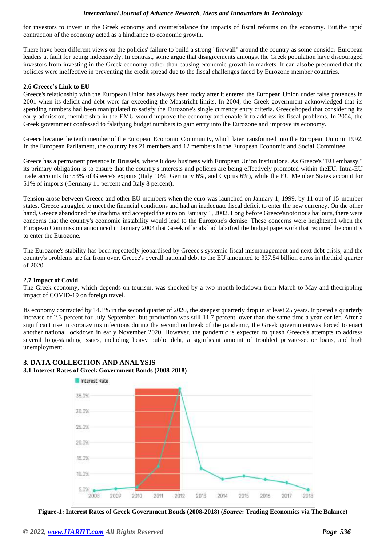for investors to invest in the Greek economy and counterbalance the impacts of fiscal reforms on the economy. But,the rapid contraction of the economy acted as a hindrance to economic growth.

There have been different views on the policies' failure to build a strong "firewall" around the country as some consider European leaders at fault for acting indecisively. In contrast, some argue that disagreements amongst the Greek population have discouraged investors from investing in the Greek economy rather than causing economic growth in markets. It can alsobe presumed that the policies were ineffective in preventing the credit spread due to the fiscal challenges faced by Eurozone member countries.

#### **2.6 Greece's Link to EU**

Greece's relationship with the European Union has always been rocky after it entered the European Union under false pretences in 2001 when its deficit and debt were far exceeding the Maastricht limits. In 2004, the Greek government acknowledged that its spending numbers had been manipulated to satisfy the Eurozone's single currency entry criteria. Greecehoped that considering its early admission, membership in the EMU would improve the economy and enable it to address its fiscal problems. In 2004, the Greek government confessed to falsifying budget numbers to gain entry into the Eurozone and improve its economy.

Greece became the tenth member of the European Economic Community, which later transformed into the European Unionin 1992. In the European Parliament, the country has 21 members and 12 members in the European Economic and Social Committee.

Greece has a permanent presence in Brussels, where it does business with European Union institutions. As Greece's "EU embassy," its primary obligation is to ensure that the country's interests and policies are being effectively promoted within theEU. Intra-EU trade accounts for 53% of Greece's exports (Italy 10%, Germany 6%, and Cyprus 6%), while the EU Member States account for 51% of imports (Germany 11 percent and Italy 8 percent).

Tension arose between Greece and other EU members when the euro was launched on January 1, 1999, by 11 out of 15 member states. Greece struggled to meet the financial conditions and had an inadequate fiscal deficit to enter the new currency. On the other hand, Greece abandoned the drachma and accepted the euro on January 1, 2002. Long before Greece's notorious bailouts, there were concerns that the country's economic instability would lead to the Eurozone's demise. These concerns were heightened when the European Commission announced in January 2004 that Greek officials had falsified the budget paperwork that required the country to enter the Eurozone.

The Eurozone's stability has been repeatedly jeopardised by Greece's systemic fiscal mismanagement and next debt crisis, and the country's problems are far from over. Greece's overall national debt to the EU amounted to 337.54 billion euros in thethird quarter of 2020.

#### **2.7 Impact of Covid**

The Greek economy, which depends on tourism, was shocked by a two-month lockdown from March to May and thecrippling impact of COVID-19 on foreign travel.

Its economy contracted by 14.1% in the second quarter of 2020, the steepest quarterly drop in at least 25 years. It posted a quarterly increase of 2.3 percent for July-September, but production was still 11.7 percent lower than the same time a year earlier. After a significant rise in coronavirus infections during the second outbreak of the pandemic, the Greek governmentwas forced to enact another national lockdown in early November 2020. However, the pandemic is expected to quash Greece's attempts to address several long-standing issues, including heavy public debt, a significant amount of troubled private-sector loans, and high unemployment.



### **3. DATA COLLECTION AND ANALYSIS 3.1 Interest Rates of Greek Government Bonds (2008-2018)**

**Figure-1: Interest Rates of Greek Government Bonds (2008-2018) (***Source***: Trading Economics via The Balance)**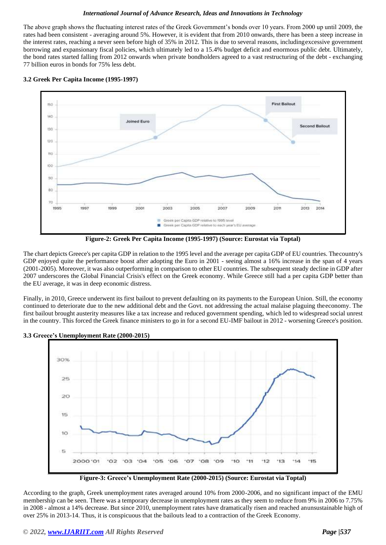The above graph shows the fluctuating interest rates of the Greek Government's bonds over 10 years. From 2000 up until 2009, the rates had been consistent - averaging around 5%. However, it is evident that from 2010 onwards, there has been a steep increase in the interest rates, reaching a never seen before high of 35% in 2012. This is due to several reasons, includingexcessive government borrowing and expansionary fiscal policies, which ultimately led to a 15.4% budget deficit and enormous public debt. Ultimately, the bond rates started falling from 2012 onwards when private bondholders agreed to a vast restructuring of the debt - exchanging 77 billion euros in bonds for 75% less debt.





**Figure-2: Greek Per Capita Income (1995-1997) (Source: Eurostat via Toptal)**

The chart depicts Greece's per capita GDP in relation to the 1995 level and the average per capita GDP of EU countries. Thecountry's GDP enjoyed quite the performance boost after adopting the Euro in 2001 - seeing almost a 16% increase in the span of 4 years (2001-2005). Moreover, it was also outperforming in comparison to other EU countries. The subsequent steady decline in GDP after 2007 underscores the Global Financial Crisis's effect on the Greek economy. While Greece still had a per capita GDP better than the EU average, it was in deep economic distress.

Finally, in 2010, Greece underwent its first bailout to prevent defaulting on its payments to the European Union. Still, the economy continued to deteriorate due to the new additional debt and the Govt. not addressing the actual malaise plaguing theeconomy. The first bailout brought austerity measures like a tax increase and reduced government spending, which led to widespread social unrest in the country. This forced the Greek finance ministers to go in for a second EU-IMF bailout in 2012 - worsening Greece's position.



**3.3 Greece's Unemployment Rate (2000-2015)**



According to the graph, Greek unemployment rates averaged around 10% from 2000-2006, and no significant impact of the EMU membership can be seen. There was a temporary decrease in unemployment rates as they seem to reduce from 9% in 2006 to 7.75% in 2008 - almost a 14% decrease. But since 2010, unemployment rates have dramatically risen and reached anunsustainable high of over 25% in 2013-14. Thus, it is conspicuous that the bailouts lead to a contraction of the Greek Economy.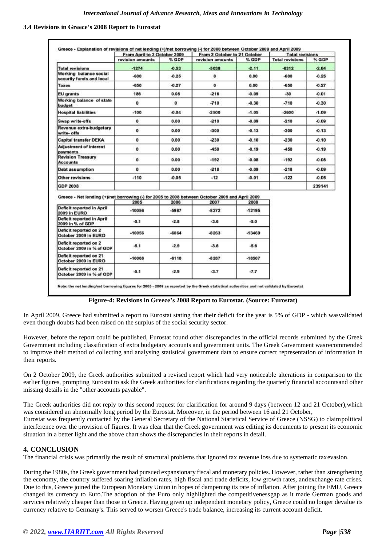#### **3.4 Revisions in Greece's 2008 Report to Eurostat**

|                                                                                                 | From April to 2 October 2009 |         | From 2 October to 21 October |          | <b>Total revisions</b> |         |
|-------------------------------------------------------------------------------------------------|------------------------------|---------|------------------------------|----------|------------------------|---------|
|                                                                                                 | revision amounts             | % GDP   | revision amounts.            | % GDP    | <b>Total revisions</b> | % GDP   |
| <b>Total revisions</b>                                                                          | $-1274$                      | $-0.53$ | $-5038$                      | $-2.11$  | $-6312$                | $-2.64$ |
| Working balance social<br>security funds and local                                              | $-600$                       | $-0.25$ | $\mathbf{0}$                 | 0.00     | -600                   | $-0.25$ |
| Taxes                                                                                           | $-650$                       | $-0.27$ | $\mathbf{0}$                 | 0.00     | $-650$                 | $-0.27$ |
| EU grants                                                                                       | 186                          | 0.08    | $-216$                       | $-0.09$  | $-30$                  | $-0.01$ |
| Working balance of state<br>budget                                                              | $\mathbf{0}$                 | o       | $-710$                       | $-0.30$  | $-710$                 | $-0.30$ |
| <b>Hospital liabilities</b>                                                                     | $-100$                       | 0.04    | $-2500$                      | $-1.05$  | $-2600$                | $-1.09$ |
| Swap write-offs                                                                                 | $\mathbf{0}$                 | 0.00    | $-210$                       | $-0.09$  | $-210$                 | $-0.09$ |
| Revenue extra-budgetary<br>write- offs                                                          | $\mathbf 0$                  | 0.00    | $-300$                       | $-0.13$  | $-300$                 | $-0.13$ |
| <b>Capital transfer DEKA</b>                                                                    | 0                            | 0.00    | $-230$                       | $-0.10$  | $-230$                 | $-0.10$ |
| Adjustment of interest<br>payments                                                              | $\bf{0}$                     | 0.00    | -450                         | $-0.19$  | $-450$                 | $-0.19$ |
| <b>Revision Treasury</b><br><b>Accounts</b>                                                     | $\mathbf{o}$                 | 0.00    | $-192$                       | $-0.08$  | $-192$                 | 0.08    |
| Debt assumption                                                                                 | $\mathbf{0}$                 | 0.00    | $-218$                       | $-0.09$  | $-218$                 | $-0.09$ |
| Other revisions                                                                                 | $-110$                       | $-0.05$ | $-12$                        | $-0.01$  | $-122$                 | $-0.05$ |
| <b>GDP 2008</b>                                                                                 |                              |         |                              |          |                        | 239141  |
| Greece - Net lending (+)/net borrowing (-) for 2005 to 2008 between October 2009 and April 2009 | 2005                         | 2006    | 2007                         | 2008     |                        |         |
| Deficit reported in April                                                                       |                              |         |                              |          |                        |         |
| 2009 in EURO                                                                                    | $-10056$                     | $-5987$ | $-8272$                      | $-12195$ |                        |         |
| Deficit reported in April<br>2009 in % of GDP                                                   | $-5.1$                       | $-2.8$  | $-3.6$                       | $-5.0$   |                        |         |
| Deficit reported on 2<br>October 2009 in EURO                                                   | $-10056$                     | $-6064$ | $-8263$                      | $-13469$ |                        |         |
| Deficit reported on 2                                                                           | $-5.1$                       | $-2.9$  | $-3.6$                       | $-5.6$   |                        |         |
| October 2009 in % of GDP                                                                        |                              | $-6110$ | $-8287$                      | $-18507$ |                        |         |
| Deficit reported on 21<br>October 2009 in EURO                                                  | $-10068$                     |         |                              |          |                        |         |

**Figure-4: Revisions in Greece's 2008 Report to Eurostat. (Source: Eurostat)**

In April 2009, Greece had submitted a report to Eurostat stating that their deficit for the year is 5% of GDP - which wasvalidated even though doubts had been raised on the surplus of the social security sector.

However, before the report could be published, Eurostat found other discrepancies in the official records submitted by the Greek Government including classification of extra budgetary accounts and government units. The Greek Government wasrecommended to improve their method of collecting and analysing statistical government data to ensure correct representation of information in their reports.

On 2 October 2009, the Greek authorities submitted a revised report which had very noticeable alterations in comparison to the earlier figures, prompting Eurostat to ask the Greek authorities for clarifications regarding the quarterly financial accountsand other missing details in the "other accounts payable".

The Greek authorities did not reply to this second request for clarification for around 9 days (between 12 and 21 October),which was considered an abnormally long period by the Eurostat. Moreover, in the period between 16 and 21 October, Eurostat was frequently contacted by the General Secretary of the National Statistical Service of Greece (NSSG) to claimpolitical interference over the provision of figures. It was clear that the Greek government was editing its documents to present its economic situation in a better light and the above chart shows the discrepancies in their reports in detail.

## **4. CONCLUSION**

The financial crisis was primarily the result of structural problems that ignored tax revenue loss due to systematic taxevasion.

During the 1980s, the Greek government had pursued expansionary fiscal and monetary policies. However, rather than strengthening the economy, the country suffered soaring inflation rates, high fiscal and trade deficits, low growth rates, andexchange rate crises. Due to this, Greece joined the European Monetary Union in hopes of dampening its rate of inflation. After joining the EMU, Greece changed its currency to Euro.The adoption of the Euro only highlighted the competitivenessgap as it made German goods and services relatively cheaper than those in Greece. Having given up independent monetary policy, Greece could no longer devalue its currency relative to Germany's. This served to worsen Greece's trade balance, increasing its current account deficit.